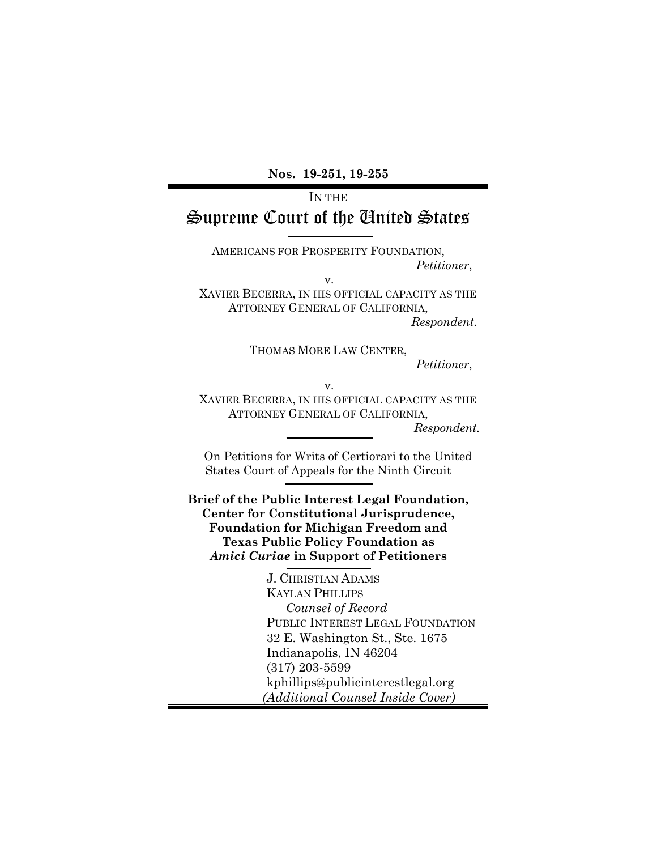**Nos. 19-251, 19-255**

# IN THE Supreme Court of the United States

AMERICANS FOR PROSPERITY FOUNDATION, *Petitioner*,

v.

XAVIER BECERRA, IN HIS OFFICIAL CAPACITY AS THE ATTORNEY GENERAL OF CALIFORNIA,

*Respondent.*

THOMAS MORE LAW CENTER,

*Petitioner*,

v.

XAVIER BECERRA, IN HIS OFFICIAL CAPACITY AS THE ATTORNEY GENERAL OF CALIFORNIA,

*Respondent.*

On Petitions for Writs of Certiorari to the United States Court of Appeals for the Ninth Circuit

**Brief of the Public Interest Legal Foundation, Center for Constitutional Jurisprudence, Foundation for Michigan Freedom and Texas Public Policy Foundation as**  *Amici Curiae* **in Support of Petitioners**

> J. CHRISTIAN ADAMS KAYLAN PHILLIPS *Counsel of Record* PUBLIC INTEREST LEGAL FOUNDATION 32 E. Washington St., Ste. 1675 Indianapolis, IN 46204 (317) 203-5599 kphillips@publicinterestlegal.org  *(Additional Counsel Inside Cover)*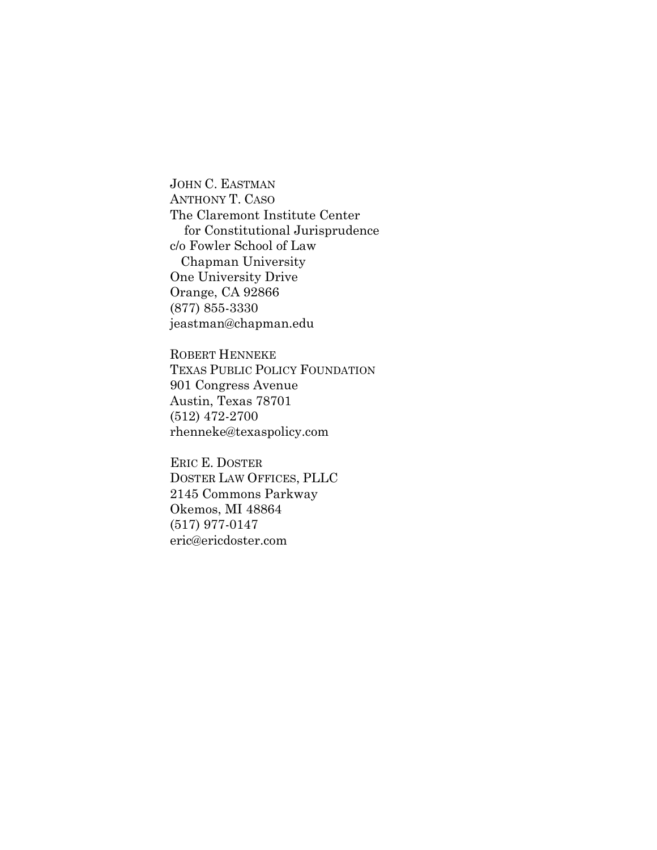JOHN C. EASTMAN ANTHONY T. CASO The Claremont Institute Center for Constitutional Jurisprudence c/o Fowler School of Law Chapman University One University Drive Orange, CA 92866 (877) 855-3330 jeastman@chapman.edu

ROBERT HENNEKE TEXAS PUBLIC POLICY FOUNDATION 901 Congress Avenue Austin, Texas 78701 (512) 472-2700 rhenneke@texaspolicy.com

ERIC E. DOSTER DOSTER LAW OFFICES, PLLC 2145 Commons Parkway Okemos, MI 48864 (517) 977-0147 eric@ericdoster.com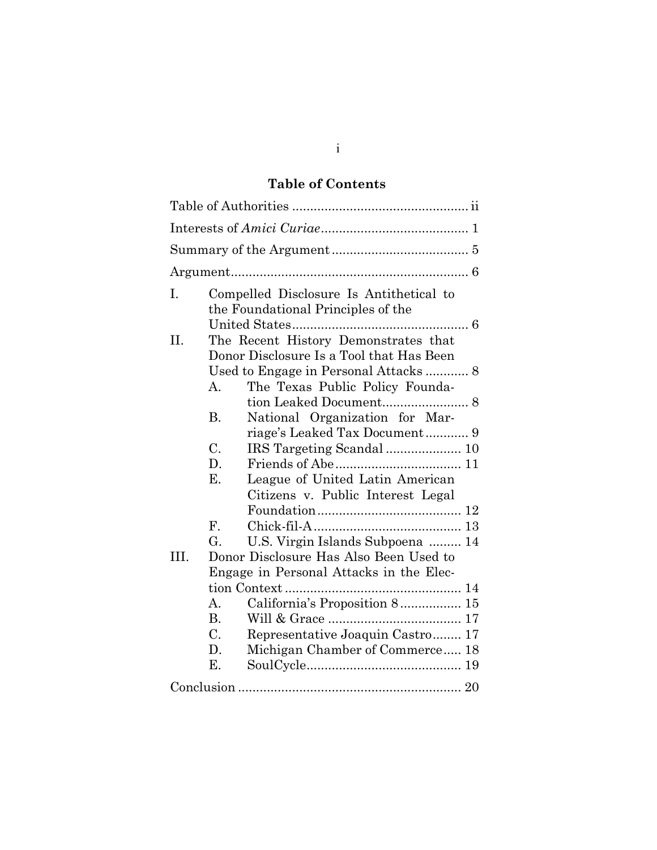# **Table of Contents**

| I.   |                 | Compelled Disclosure Is Antithetical to<br>the Foundational Principles of the    |  |  |
|------|-----------------|----------------------------------------------------------------------------------|--|--|
| H.   |                 | The Recent History Demonstrates that<br>Donor Disclosure Is a Tool that Has Been |  |  |
|      |                 |                                                                                  |  |  |
|      | A.              | The Texas Public Policy Founda-                                                  |  |  |
|      |                 | tion Leaked Document 8                                                           |  |  |
|      | B.              | National Organization for Mar-                                                   |  |  |
|      |                 |                                                                                  |  |  |
|      | $\mathcal{C}$ . |                                                                                  |  |  |
|      | D.              |                                                                                  |  |  |
|      | Е.              | League of United Latin American                                                  |  |  |
|      |                 | Citizens v. Public Interest Legal                                                |  |  |
|      |                 |                                                                                  |  |  |
|      | ${\bf F}$ .     |                                                                                  |  |  |
|      | G.              | U.S. Virgin Islands Subpoena  14                                                 |  |  |
| III. |                 | Donor Disclosure Has Also Been Used to                                           |  |  |
|      |                 | Engage in Personal Attacks in the Elec-                                          |  |  |
|      |                 |                                                                                  |  |  |
|      | А.              | California's Proposition 8 15                                                    |  |  |
|      | B.              |                                                                                  |  |  |
|      | $\mathcal{C}$ . | Representative Joaquin Castro 17                                                 |  |  |
|      | D.              | Michigan Chamber of Commerce 18                                                  |  |  |
|      | Ε.              |                                                                                  |  |  |
|      |                 |                                                                                  |  |  |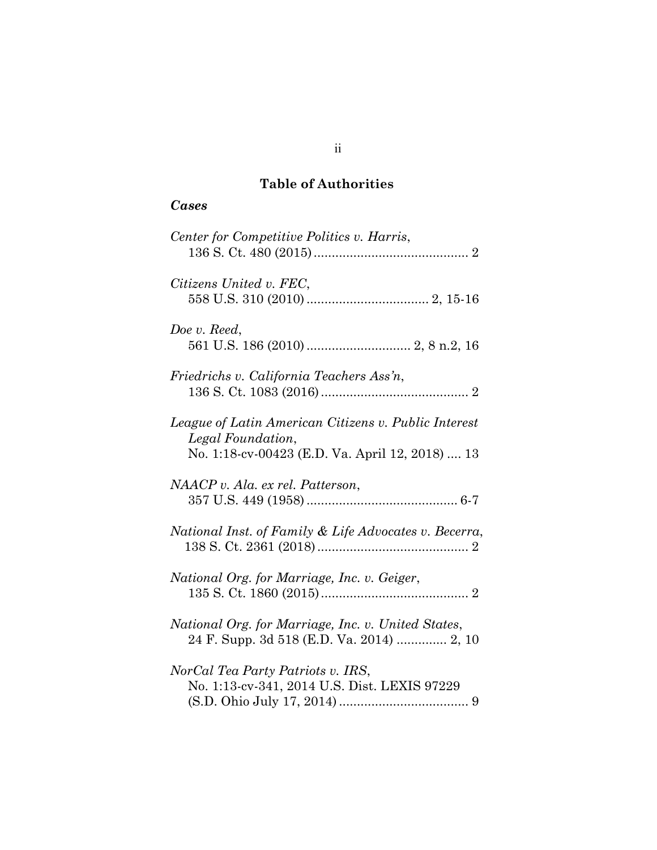# **Table of Authorities**

# *Cases*

| Center for Competitive Politics v. Harris,                                                                                   |
|------------------------------------------------------------------------------------------------------------------------------|
| Citizens United v. FEC,                                                                                                      |
| Doe v. Reed,                                                                                                                 |
| Friedrichs v. California Teachers Ass'n,                                                                                     |
| League of Latin American Citizens v. Public Interest<br>Legal Foundation,<br>No. 1:18-cv-00423 (E.D. Va. April 12, 2018)  13 |
| NAACP v. Ala. ex rel. Patterson,                                                                                             |
| National Inst. of Family & Life Advocates v. Becerra,                                                                        |
| National Org. for Marriage, Inc. v. Geiger,                                                                                  |
| National Org. for Marriage, Inc. v. United States,<br>24 F. Supp. 3d 518 (E.D. Va. 2014)  2, 10                              |
| NorCal Tea Party Patriots v. IRS,<br>No. 1:13-cv-341, 2014 U.S. Dist. LEXIS 97229                                            |

# ii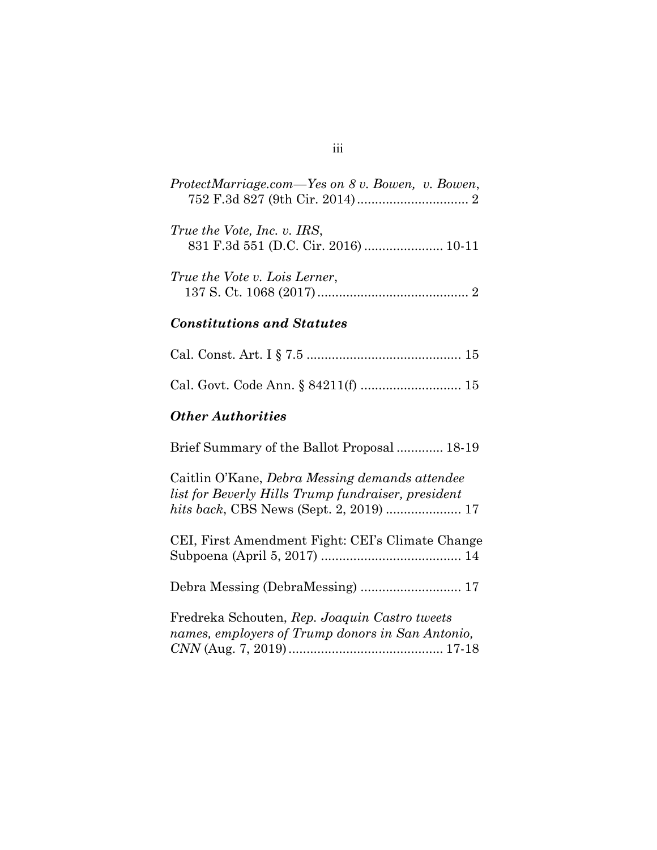| ProtectMarriage.com—Yes on 8 v. Bowen, v. Bowen, |
|--------------------------------------------------|
| True the Vote, Inc. v. IRS,                      |
| True the Vote v. Lois Lerner,                    |

#### *Constitutions and Statutes*

### *Other Authorities*

Brief Summary of the Ballot Proposal ............. 18-19 Caitlin O'Kane, *Debra Messing demands attendee list for Beverly Hills Trump fundraiser, president hits back*, CBS News (Sept. 2, 2019) ..................... 17 CEI, First Amendment Fight: CEI's Climate Change Subpoena (April 5, 2017) ....................................... 14 Debra Messing (DebraMessing) ............................ 17 Fredreka Schouten, *Rep. Joaquin Castro tweets names, employers of Trump donors in San Antonio, CNN* (Aug. 7, 2019)........................................... 17-18

iii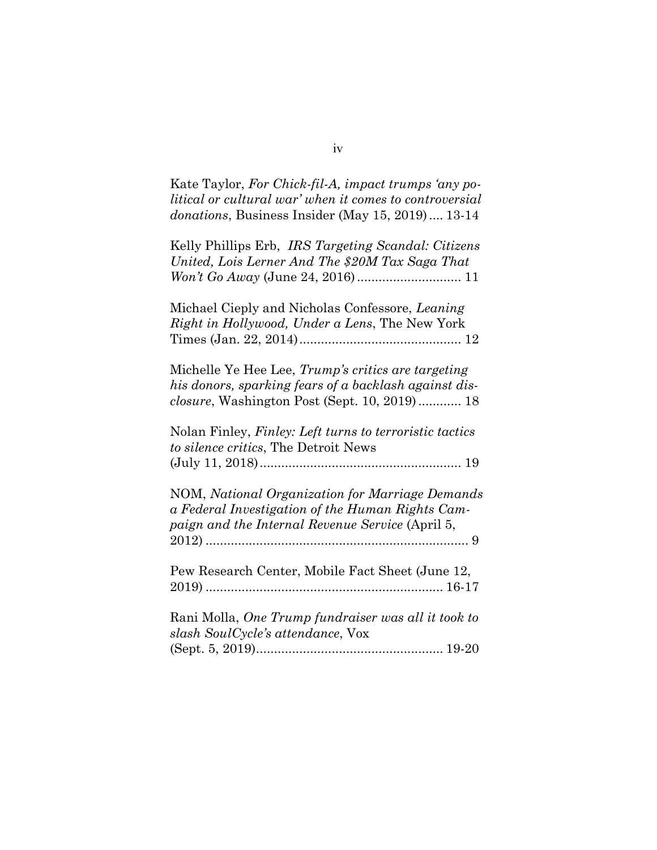| Kate Taylor, For Chick-fil-A, impact trumps 'any po-<br>litical or cultural war' when it comes to controversial<br>donations, Business Insider (May 15, 2019) 13-14 |
|---------------------------------------------------------------------------------------------------------------------------------------------------------------------|
| Kelly Phillips Erb, IRS Targeting Scandal: Citizens<br>United, Lois Lerner And The \$20M Tax Saga That                                                              |
| Michael Cieply and Nicholas Confessore, Leaning<br>Right in Hollywood, Under a Lens, The New York                                                                   |
| Michelle Ye Hee Lee, Trump's critics are targeting<br>his donors, sparking fears of a backlash against dis-<br>closure, Washington Post (Sept. 10, 2019) 18         |
| Nolan Finley, Finley: Left turns to terroristic tactics<br>to silence critics, The Detroit News                                                                     |
| NOM, National Organization for Marriage Demands<br>a Federal Investigation of the Human Rights Cam-<br>paign and the Internal Revenue Service (April 5,             |
| Pew Research Center, Mobile Fact Sheet (June 12,                                                                                                                    |
| Rani Molla, One Trump fundraiser was all it took to<br>slash SoulCycle's attendance, Vox                                                                            |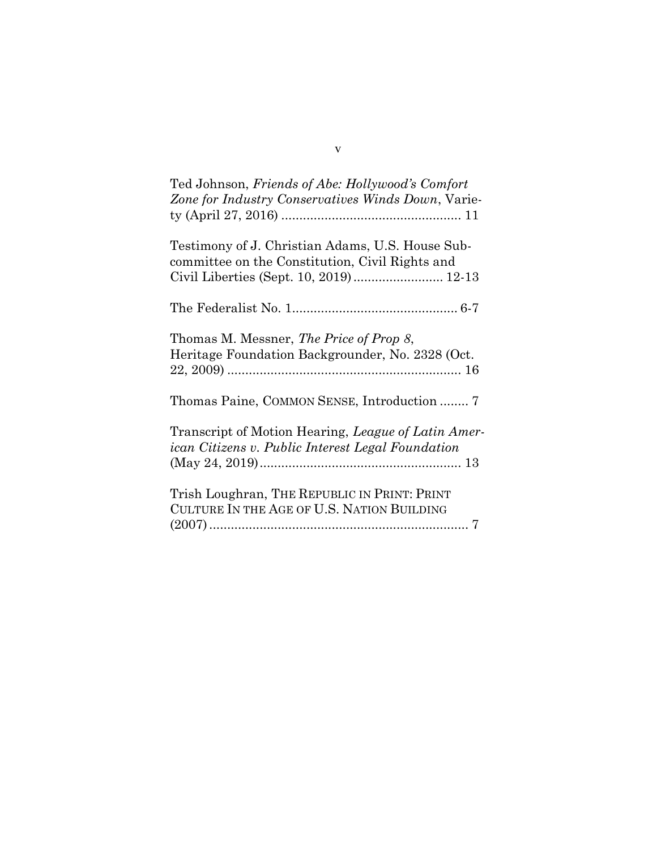| Ted Johnson, Friends of Abe: Hollywood's Comfort<br>Zone for Industry Conservatives Winds Down, Varie-                                        |
|-----------------------------------------------------------------------------------------------------------------------------------------------|
| Testimony of J. Christian Adams, U.S. House Sub-<br>committee on the Constitution, Civil Rights and<br>Civil Liberties (Sept. 10, 2019) 12-13 |
|                                                                                                                                               |
| Thomas M. Messner, The Price of Prop 8,<br>Heritage Foundation Backgrounder, No. 2328 (Oct.                                                   |
| Thomas Paine, COMMON SENSE, Introduction  7                                                                                                   |
| Transcript of Motion Hearing, League of Latin Amer-<br>ican Citizens v. Public Interest Legal Foundation                                      |
| Trish Loughran, THE REPUBLIC IN PRINT: PRINT<br>CULTURE IN THE AGE OF U.S. NATION BUILDING                                                    |

v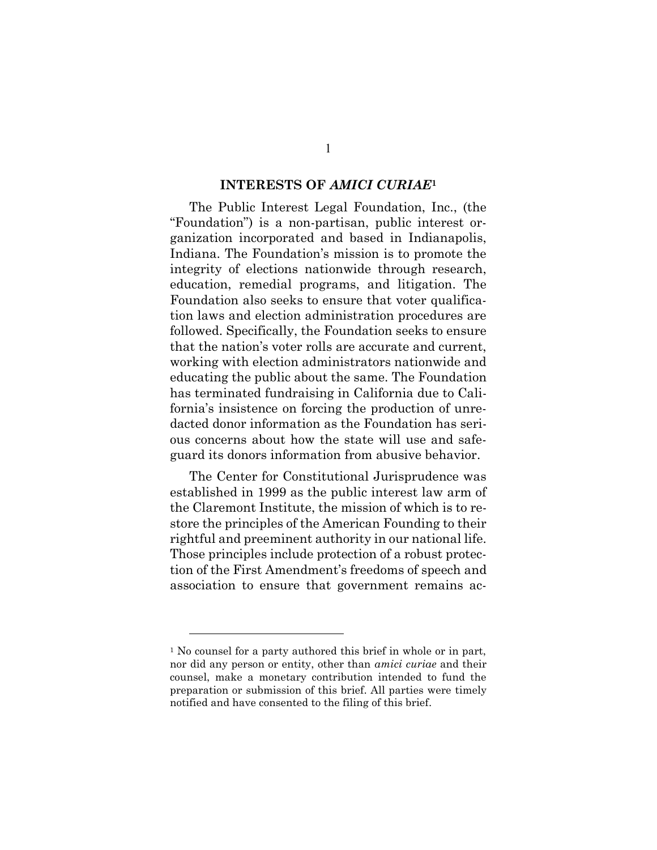#### **INTERESTS OF** *AMICI CURIAE***<sup>1</sup>**

The Public Interest Legal Foundation, Inc., (the "Foundation") is a non-partisan, public interest organization incorporated and based in Indianapolis, Indiana. The Foundation's mission is to promote the integrity of elections nationwide through research, education, remedial programs, and litigation. The Foundation also seeks to ensure that voter qualification laws and election administration procedures are followed. Specifically, the Foundation seeks to ensure that the nation's voter rolls are accurate and current, working with election administrators nationwide and educating the public about the same. The Foundation has terminated fundraising in California due to California's insistence on forcing the production of unredacted donor information as the Foundation has serious concerns about how the state will use and safeguard its donors information from abusive behavior.

The Center for Constitutional Jurisprudence was established in 1999 as the public interest law arm of the Claremont Institute, the mission of which is to restore the principles of the American Founding to their rightful and preeminent authority in our national life. Those principles include protection of a robust protection of the First Amendment's freedoms of speech and association to ensure that government remains ac-

 $\overline{a}$ 

<sup>1</sup> No counsel for a party authored this brief in whole or in part, nor did any person or entity, other than *amici curiae* and their counsel, make a monetary contribution intended to fund the preparation or submission of this brief. All parties were timely notified and have consented to the filing of this brief.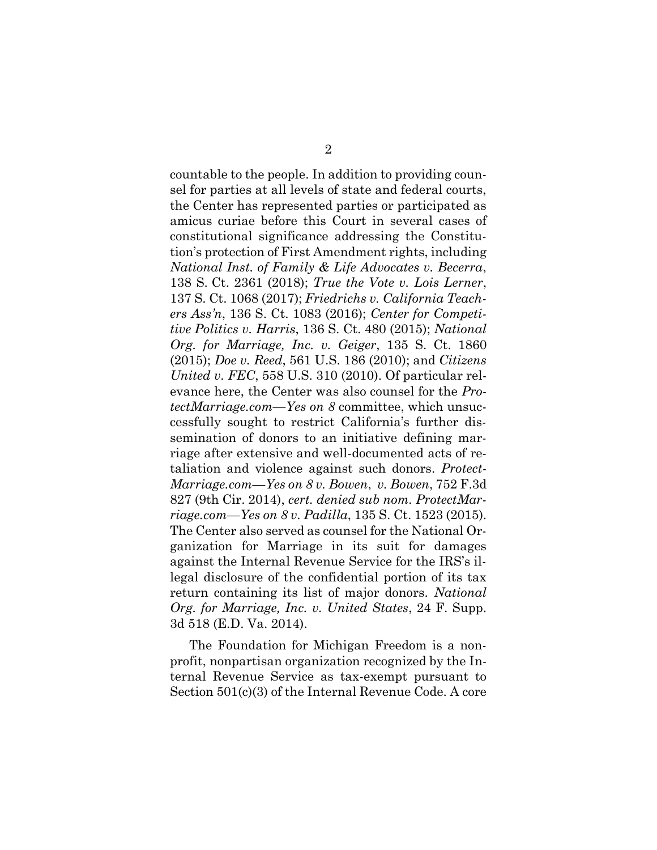countable to the people. In addition to providing counsel for parties at all levels of state and federal courts, the Center has represented parties or participated as amicus curiae before this Court in several cases of constitutional significance addressing the Constitution's protection of First Amendment rights, including *National Inst. of Family & Life Advocates v. Becerra*, 138 S. Ct. 2361 (2018); *True the Vote v. Lois Lerner*, 137 S. Ct. 1068 (2017); *Friedrichs v. California Teachers Ass'n*, 136 S. Ct. 1083 (2016); *Center for Competitive Politics v. Harris*, 136 S. Ct. 480 (2015); *National Org. for Marriage, Inc. v. Geiger*, 135 S. Ct. 1860 (2015); *Doe v. Reed*, 561 U.S. 186 (2010); and *Citizens United v. FEC*, 558 U.S. 310 (2010). Of particular relevance here, the Center was also counsel for the *ProtectMarriage.com*—*Yes on 8* committee, which unsuccessfully sought to restrict California's further dissemination of donors to an initiative defining marriage after extensive and well-documented acts of retaliation and violence against such donors. *Protect-Marriage.com*—*Yes on 8 v. Bowen*, *v. Bowen*, 752 F.3d 827 (9th Cir. 2014), *cert. denied sub nom. ProtectMarriage.com*—*Yes on 8 v. Padilla*, 135 S. Ct. 1523 (2015). The Center also served as counsel for the National Organization for Marriage in its suit for damages against the Internal Revenue Service for the IRS's illegal disclosure of the confidential portion of its tax return containing its list of major donors. *National Org. for Marriage, Inc. v. United States*, 24 F. Supp. 3d 518 (E.D. Va. 2014).

The Foundation for Michigan Freedom is a nonprofit, nonpartisan organization recognized by the Internal Revenue Service as tax-exempt pursuant to Section 501(c)(3) of the Internal Revenue Code. A core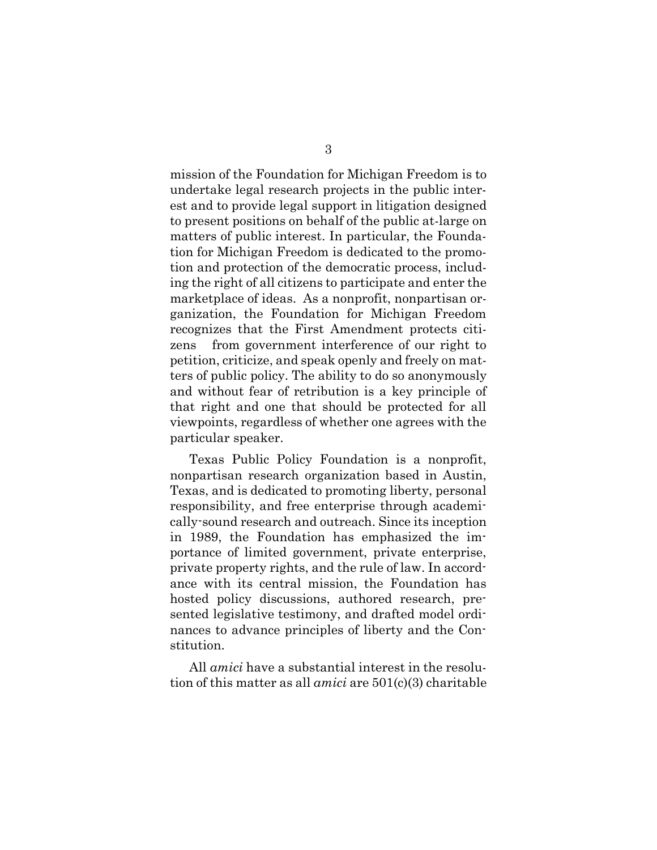mission of the Foundation for Michigan Freedom is to undertake legal research projects in the public interest and to provide legal support in litigation designed to present positions on behalf of the public at-large on matters of public interest. In particular, the Foundation for Michigan Freedom is dedicated to the promotion and protection of the democratic process, including the right of all citizens to participate and enter the marketplace of ideas. As a nonprofit, nonpartisan organization, the Foundation for Michigan Freedom recognizes that the First Amendment protects citizens from government interference of our right to petition, criticize, and speak openly and freely on matters of public policy. The ability to do so anonymously and without fear of retribution is a key principle of that right and one that should be protected for all viewpoints, regardless of whether one agrees with the particular speaker.

Texas Public Policy Foundation is a nonprofit, nonpartisan research organization based in Austin, Texas, and is dedicated to promoting liberty, personal responsibility, and free enterprise through academically-sound research and outreach. Since its inception in 1989, the Foundation has emphasized the importance of limited government, private enterprise, private property rights, and the rule of law. In accordance with its central mission, the Foundation has hosted policy discussions, authored research, presented legislative testimony, and drafted model ordinances to advance principles of liberty and the Constitution.

All *amici* have a substantial interest in the resolution of this matter as all *amici* are 501(c)(3) charitable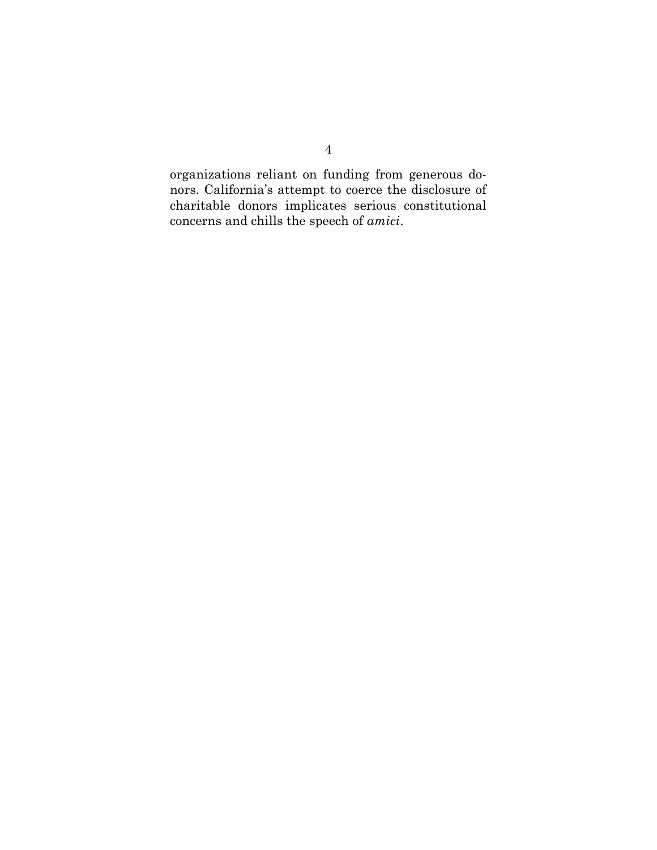organizations reliant on funding from generous donors. California's attempt to coerce the disclosure of charitable donors implicates serious constitutional concerns and chills the speech of *amici*.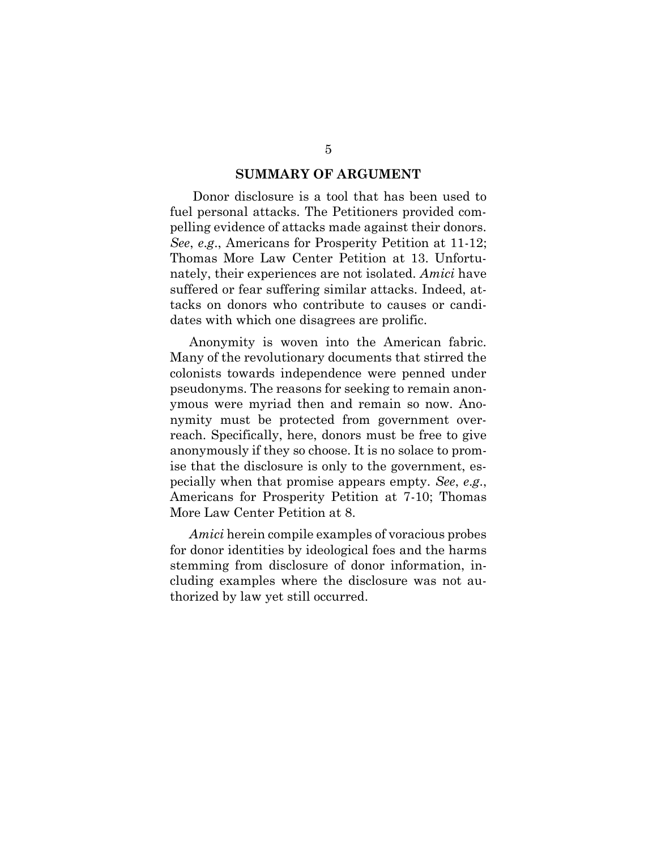### **SUMMARY OF ARGUMENT**

Donor disclosure is a tool that has been used to fuel personal attacks. The Petitioners provided compelling evidence of attacks made against their donors. *See*, *e*.*g*., Americans for Prosperity Petition at 11-12; Thomas More Law Center Petition at 13. Unfortunately, their experiences are not isolated. *Amici* have suffered or fear suffering similar attacks. Indeed, attacks on donors who contribute to causes or candidates with which one disagrees are prolific.

Anonymity is woven into the American fabric. Many of the revolutionary documents that stirred the colonists towards independence were penned under pseudonyms. The reasons for seeking to remain anonymous were myriad then and remain so now. Anonymity must be protected from government overreach. Specifically, here, donors must be free to give anonymously if they so choose. It is no solace to promise that the disclosure is only to the government, especially when that promise appears empty. *See*, *e*.*g*., Americans for Prosperity Petition at 7-10; Thomas More Law Center Petition at 8.

*Amici* herein compile examples of voracious probes for donor identities by ideological foes and the harms stemming from disclosure of donor information, including examples where the disclosure was not authorized by law yet still occurred.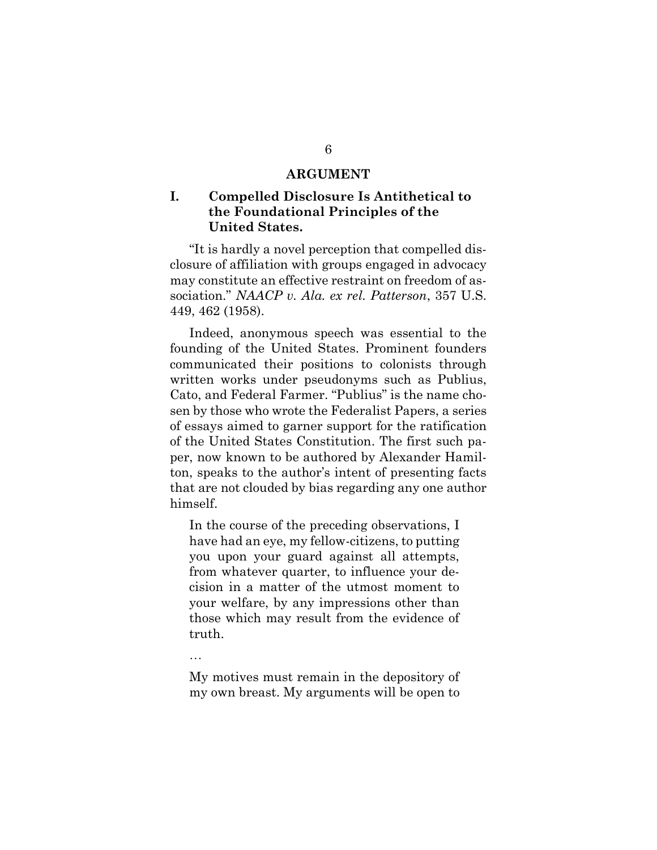### **ARGUMENT**

# **I. Compelled Disclosure Is Antithetical to the Foundational Principles of the United States.**

"It is hardly a novel perception that compelled disclosure of affiliation with groups engaged in advocacy may constitute an effective restraint on freedom of association." *NAACP v. Ala. ex rel. Patterson*, 357 U.S. 449, 462 (1958).

Indeed, anonymous speech was essential to the founding of the United States. Prominent founders communicated their positions to colonists through written works under pseudonyms such as Publius, Cato, and Federal Farmer. "Publius" is the name chosen by those who wrote the Federalist Papers, a series of essays aimed to garner support for the ratification of the United States Constitution. The first such paper, now known to be authored by Alexander Hamilton, speaks to the author's intent of presenting facts that are not clouded by bias regarding any one author himself.

In the course of the preceding observations, I have had an eye, my fellow-citizens, to putting you upon your guard against all attempts, from whatever quarter, to influence your decision in a matter of the utmost moment to your welfare, by any impressions other than those which may result from the evidence of truth.

…

My motives must remain in the depository of my own breast. My arguments will be open to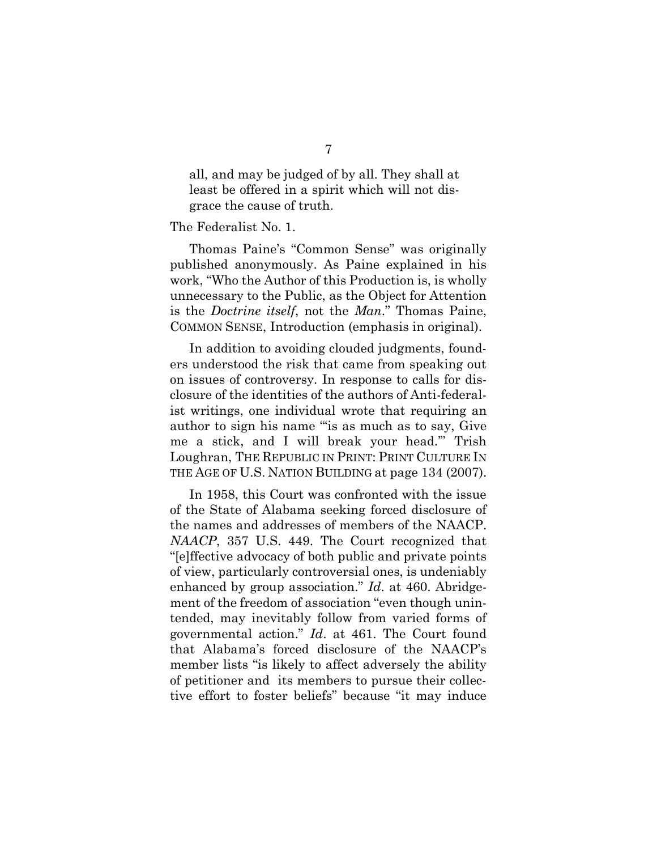all, and may be judged of by all. They shall at least be offered in a spirit which will not disgrace the cause of truth.

### The Federalist No. 1.

Thomas Paine's "Common Sense" was originally published anonymously. As Paine explained in his work, "Who the Author of this Production is, is wholly unnecessary to the Public, as the Object for Attention is the *Doctrine itself*, not the *Man*." Thomas Paine, COMMON SENSE, Introduction (emphasis in original).

In addition to avoiding clouded judgments, founders understood the risk that came from speaking out on issues of controversy. In response to calls for disclosure of the identities of the authors of Anti-federalist writings, one individual wrote that requiring an author to sign his name "'is as much as to say, Give me a stick, and I will break your head.'" Trish Loughran, THE REPUBLIC IN PRINT: PRINT CULTURE IN THE AGE OF U.S. NATION BUILDING at page 134 (2007).

In 1958, this Court was confronted with the issue of the State of Alabama seeking forced disclosure of the names and addresses of members of the NAACP. *NAACP*, 357 U.S. 449. The Court recognized that "[e]ffective advocacy of both public and private points of view, particularly controversial ones, is undeniably enhanced by group association." *Id*. at 460. Abridgement of the freedom of association "even though unintended, may inevitably follow from varied forms of governmental action." *Id*. at 461. The Court found that Alabama's forced disclosure of the NAACP's member lists "is likely to affect adversely the ability of petitioner and its members to pursue their collective effort to foster beliefs" because "it may induce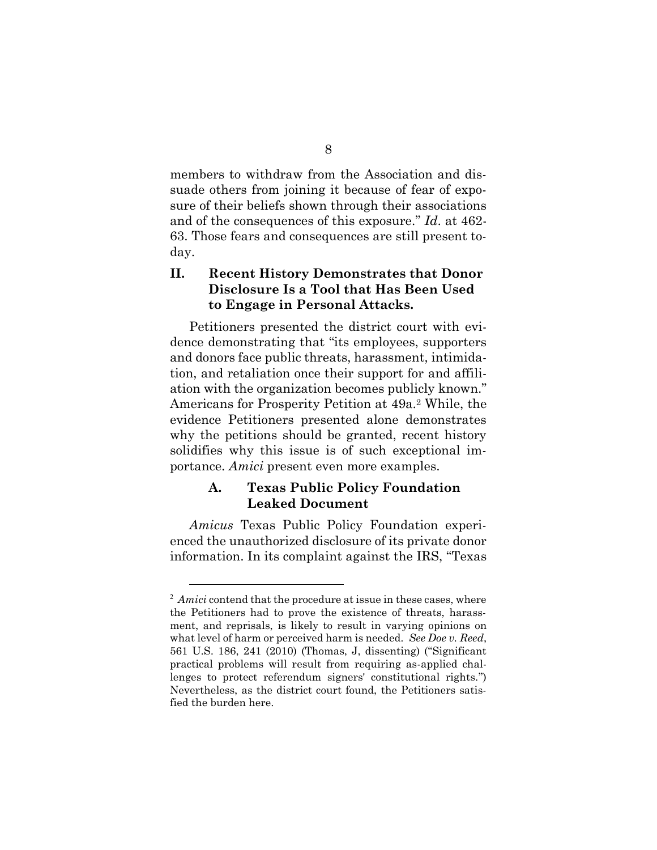members to withdraw from the Association and dissuade others from joining it because of fear of exposure of their beliefs shown through their associations and of the consequences of this exposure." *Id*. at 462- 63. Those fears and consequences are still present today.

# **II. Recent History Demonstrates that Donor Disclosure Is a Tool that Has Been Used to Engage in Personal Attacks.**

Petitioners presented the district court with evidence demonstrating that "its employees, supporters and donors face public threats, harassment, intimidation, and retaliation once their support for and affiliation with the organization becomes publicly known." Americans for Prosperity Petition at 49a.<sup>2</sup> While, the evidence Petitioners presented alone demonstrates why the petitions should be granted, recent history solidifies why this issue is of such exceptional importance. *Amici* present even more examples.

# **A. Texas Public Policy Foundation Leaked Document**

*Amicus* Texas Public Policy Foundation experienced the unauthorized disclosure of its private donor information. In its complaint against the IRS, "Texas

 $\overline{a}$ 

<sup>&</sup>lt;sup>2</sup> Amici contend that the procedure at issue in these cases, where the Petitioners had to prove the existence of threats, harassment, and reprisals, is likely to result in varying opinions on what level of harm or perceived harm is needed. *See Doe v. Reed*, 561 U.S. 186, 241 (2010) (Thomas, J, dissenting) ("Significant practical problems will result from requiring as-applied challenges to protect referendum signers' constitutional rights.") Nevertheless, as the district court found, the Petitioners satisfied the burden here.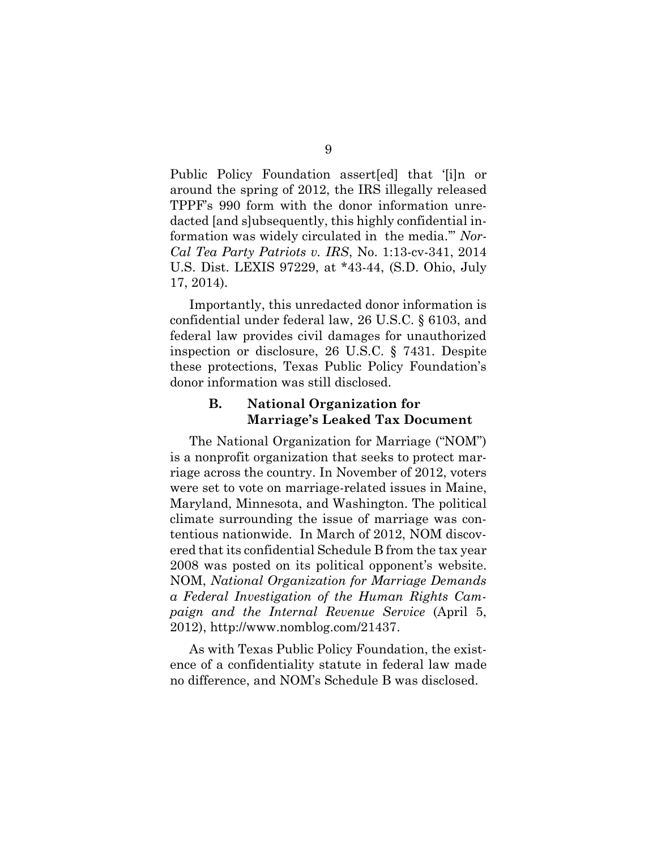Public Policy Foundation assert[ed] that '[i]n or around the spring of 2012, the IRS illegally released TPPF's 990 form with the donor information unredacted [and s]ubsequently, this highly confidential information was widely circulated in the media.'" *Nor-Cal Tea Party Patriots v. IRS*, No. 1:13-cv-341, 2014 U.S. Dist. LEXIS 97229, at \*43-44, (S.D. Ohio, July 17, 2014).

Importantly, this unredacted donor information is confidential under federal law, 26 U.S.C. § 6103, and federal law provides civil damages for unauthorized inspection or disclosure, 26 U.S.C. § 7431. Despite these protections, Texas Public Policy Foundation's donor information was still disclosed.

# **B. National Organization for Marriage's Leaked Tax Document**

The National Organization for Marriage ("NOM") is a nonprofit organization that seeks to protect marriage across the country. In November of 2012, voters were set to vote on marriage-related issues in Maine, Maryland, Minnesota, and Washington. The political climate surrounding the issue of marriage was contentious nationwide. In March of 2012, NOM discovered that its confidential Schedule B from the tax year 2008 was posted on its political opponent's website. NOM, *National Organization for Marriage Demands a Federal Investigation of the Human Rights Campaign and the Internal Revenue Service* (April 5, 2012), http://www.nomblog.com/21437.

As with Texas Public Policy Foundation, the existence of a confidentiality statute in federal law made no difference, and NOM's Schedule B was disclosed.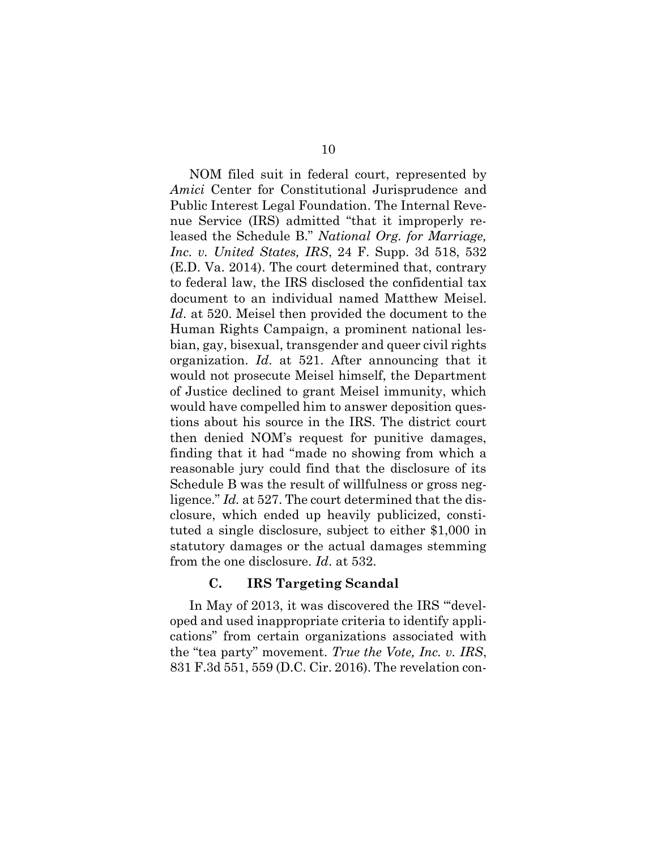NOM filed suit in federal court, represented by *Amici* Center for Constitutional Jurisprudence and Public Interest Legal Foundation. The Internal Revenue Service (IRS) admitted "that it improperly released the Schedule B." *National Org. for Marriage, Inc. v. United States, IRS*, 24 F. Supp. 3d 518, 532 (E.D. Va. 2014). The court determined that, contrary to federal law, the IRS disclosed the confidential tax document to an individual named Matthew Meisel. *Id*. at 520. Meisel then provided the document to the Human Rights Campaign, a prominent national lesbian, gay, bisexual, transgender and queer civil rights organization. *Id*. at 521. After announcing that it would not prosecute Meisel himself, the Department of Justice declined to grant Meisel immunity, which would have compelled him to answer deposition questions about his source in the IRS. The district court then denied NOM's request for punitive damages, finding that it had "made no showing from which a reasonable jury could find that the disclosure of its Schedule B was the result of willfulness or gross negligence." *Id.* at 527. The court determined that the disclosure, which ended up heavily publicized, constituted a single disclosure, subject to either \$1,000 in statutory damages or the actual damages stemming from the one disclosure. *Id*. at 532.

## **C. IRS Targeting Scandal**

In May of 2013, it was discovered the IRS "'developed and used inappropriate criteria to identify applications" from certain organizations associated with the "tea party" movement. *True the Vote, Inc. v. IRS*, 831 F.3d 551, 559 (D.C. Cir. 2016). The revelation con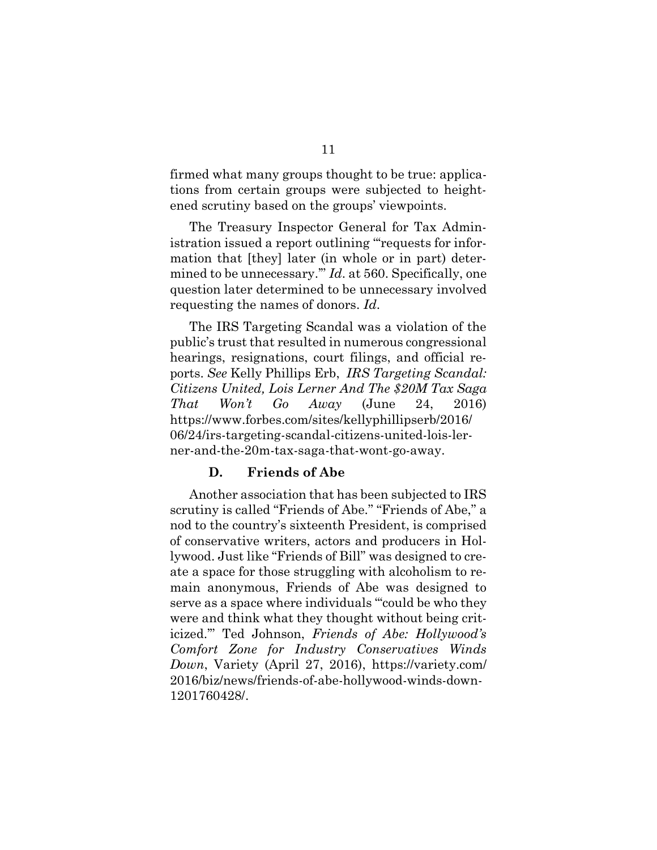firmed what many groups thought to be true: applications from certain groups were subjected to heightened scrutiny based on the groups' viewpoints.

The Treasury Inspector General for Tax Administration issued a report outlining "'requests for information that [they] later (in whole or in part) determined to be unnecessary.'" *Id*. at 560. Specifically, one question later determined to be unnecessary involved requesting the names of donors. *Id*.

The IRS Targeting Scandal was a violation of the public's trust that resulted in numerous congressional hearings, resignations, court filings, and official reports. *See* Kelly Phillips Erb, *IRS Targeting Scandal: Citizens United, Lois Lerner And The \$20M Tax Saga That Won't Go Away* (June 24, 2016) https://www.forbes.com/sites/kellyphillipserb/2016/ 06/24/irs-targeting-scandal-citizens-united-lois-lerner-and-the-20m-tax-saga-that-wont-go-away.

# **D. Friends of Abe**

Another association that has been subjected to IRS scrutiny is called "Friends of Abe." "Friends of Abe," a nod to the country's sixteenth President, is comprised of conservative writers, actors and producers in Hollywood. Just like "Friends of Bill" was designed to create a space for those struggling with alcoholism to remain anonymous, Friends of Abe was designed to serve as a space where individuals "'could be who they were and think what they thought without being criticized.'" Ted Johnson, *Friends of Abe: Hollywood's Comfort Zone for Industry Conservatives Winds Down*, Variety (April 27, 2016), https://variety.com/ 2016/biz/news/friends-of-abe-hollywood-winds-down-1201760428/.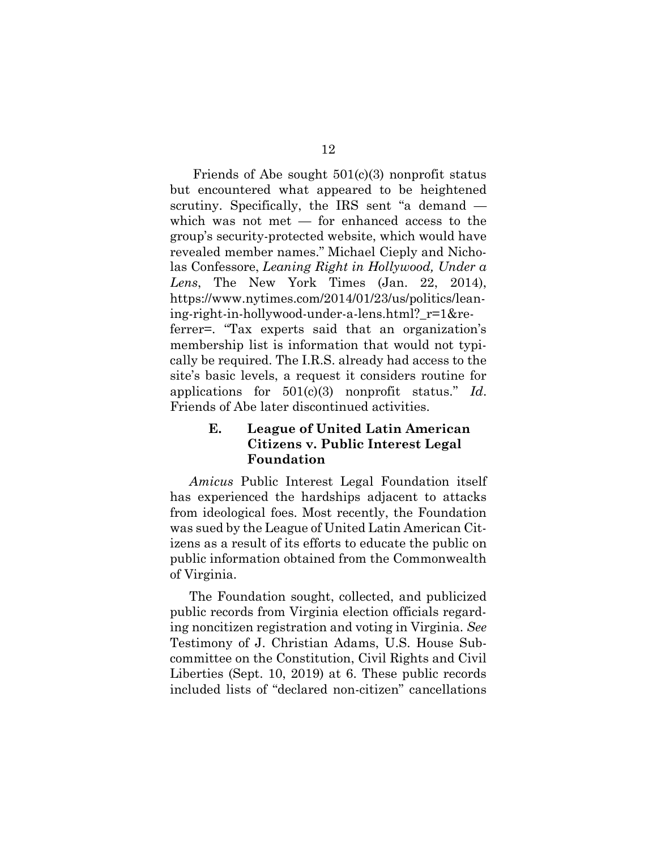Friends of Abe sought  $501(c)(3)$  nonprofit status but encountered what appeared to be heightened scrutiny. Specifically, the IRS sent "a demand which was not met — for enhanced access to the group's security-protected website, which would have revealed member names." Michael Cieply and Nicholas Confessore, *Leaning Right in Hollywood, Under a Lens*, The New York Times (Jan. 22, 2014), https://www.nytimes.com/2014/01/23/us/politics/leaning-right-in-hollywood-under-a-lens.html?\_r=1&referrer=. "Tax experts said that an organization's membership list is information that would not typically be required. The I.R.S. already had access to the site's basic levels, a request it considers routine for applications for 501(c)(3) nonprofit status." *Id*. Friends of Abe later discontinued activities.

# **E. League of United Latin American Citizens v. Public Interest Legal Foundation**

*Amicus* Public Interest Legal Foundation itself has experienced the hardships adjacent to attacks from ideological foes. Most recently, the Foundation was sued by the League of United Latin American Citizens as a result of its efforts to educate the public on public information obtained from the Commonwealth of Virginia.

The Foundation sought, collected, and publicized public records from Virginia election officials regarding noncitizen registration and voting in Virginia. *See*  Testimony of J. Christian Adams, U.S. House Subcommittee on the Constitution, Civil Rights and Civil Liberties (Sept. 10, 2019) at 6. These public records included lists of "declared non-citizen" cancellations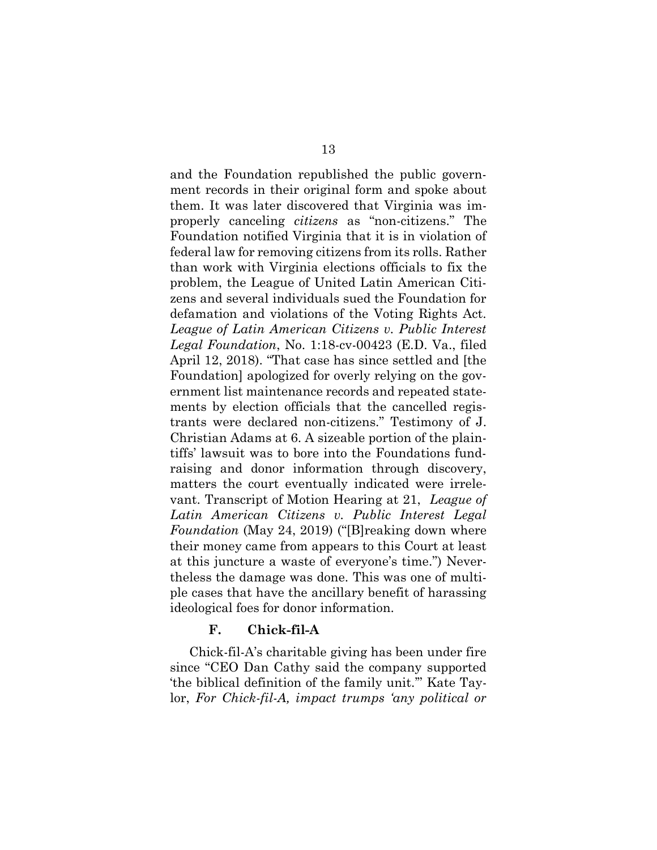and the Foundation republished the public government records in their original form and spoke about them. It was later discovered that Virginia was improperly canceling *citizens* as "non-citizens." The Foundation notified Virginia that it is in violation of federal law for removing citizens from its rolls. Rather than work with Virginia elections officials to fix the problem, the League of United Latin American Citizens and several individuals sued the Foundation for defamation and violations of the Voting Rights Act. *League of Latin American Citizens v. Public Interest Legal Foundation*, No. 1:18-cv-00423 (E.D. Va., filed April 12, 2018). "That case has since settled and [the Foundation] apologized for overly relying on the government list maintenance records and repeated statements by election officials that the cancelled registrants were declared non-citizens." Testimony of J. Christian Adams at 6. A sizeable portion of the plaintiffs' lawsuit was to bore into the Foundations fundraising and donor information through discovery, matters the court eventually indicated were irrelevant. Transcript of Motion Hearing at 21, *League of Latin American Citizens v. Public Interest Legal Foundation* (May 24, 2019) ("[B]reaking down where their money came from appears to this Court at least at this juncture a waste of everyone's time.") Nevertheless the damage was done. This was one of multiple cases that have the ancillary benefit of harassing ideological foes for donor information.

# **F. Chick-fil-A**

Chick-fil-A's charitable giving has been under fire since "CEO Dan Cathy said the company supported 'the biblical definition of the family unit.'" Kate Taylor, *For Chick-fil-A, impact trumps 'any political or*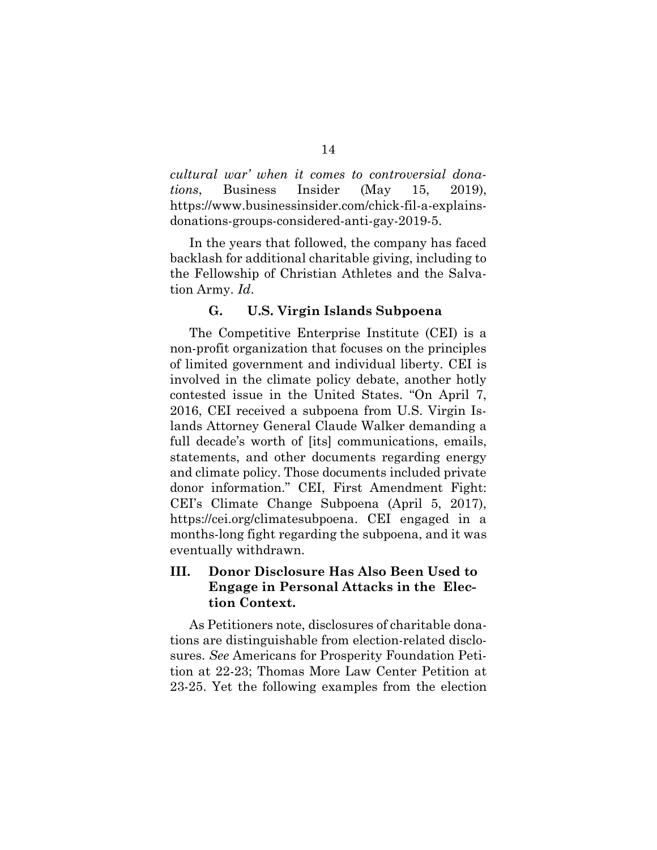*cultural war' when it comes to controversial donations*, Business Insider (May 15, 2019), https://www.businessinsider.com/chick-fil-a-explainsdonations-groups-considered-anti-gay-2019-5.

In the years that followed, the company has faced backlash for additional charitable giving, including to the Fellowship of Christian Athletes and the Salvation Army. *Id*.

### **G. U.S. Virgin Islands Subpoena**

The Competitive Enterprise Institute (CEI) is a non-profit organization that focuses on the principles of limited government and individual liberty. CEI is involved in the climate policy debate, another hotly contested issue in the United States. "On April 7, 2016, CEI received a subpoena from U.S. Virgin Islands Attorney General Claude Walker demanding a full decade's worth of [its] communications, emails, statements, and other documents regarding energy and climate policy. Those documents included private donor information." CEI, First Amendment Fight: CEI's Climate Change Subpoena (April 5, 2017), https://cei.org/climatesubpoena. CEI engaged in a months-long fight regarding the subpoena, and it was eventually withdrawn.

# **III. Donor Disclosure Has Also Been Used to Engage in Personal Attacks in the Election Context.**

As Petitioners note, disclosures of charitable donations are distinguishable from election-related disclosures. *See* Americans for Prosperity Foundation Petition at 22-23; Thomas More Law Center Petition at 23-25. Yet the following examples from the election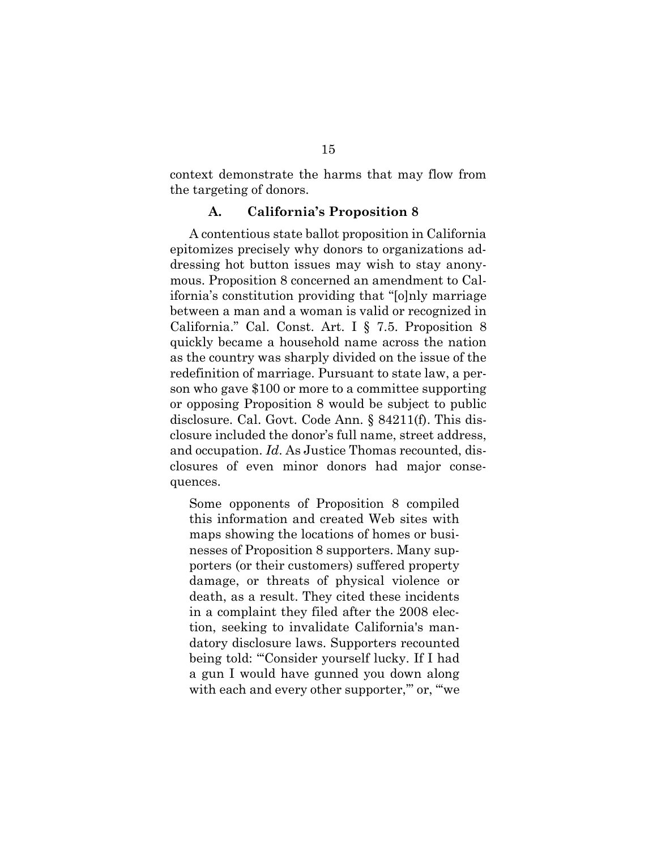context demonstrate the harms that may flow from the targeting of donors.

#### **A. California's Proposition 8**

A contentious state ballot proposition in California epitomizes precisely why donors to organizations addressing hot button issues may wish to stay anonymous. Proposition 8 concerned an amendment to California's constitution providing that "[o]nly marriage between a man and a woman is valid or recognized in California." Cal. Const. Art. I § 7.5. Proposition 8 quickly became a household name across the nation as the country was sharply divided on the issue of the redefinition of marriage. Pursuant to state law, a person who gave \$100 or more to a committee supporting or opposing Proposition 8 would be subject to public disclosure. Cal. Govt. Code Ann. § 84211(f). This disclosure included the donor's full name, street address, and occupation. *Id*. As Justice Thomas recounted, disclosures of even minor donors had major consequences.

Some opponents of Proposition 8 compiled this information and created Web sites with maps showing the locations of homes or businesses of Proposition 8 supporters. Many supporters (or their customers) suffered property damage, or threats of physical violence or death, as a result. They cited these incidents in a complaint they filed after the 2008 election, seeking to invalidate California's mandatory disclosure laws. Supporters recounted being told: "'Consider yourself lucky. If I had a gun I would have gunned you down along with each and every other supporter," or, "we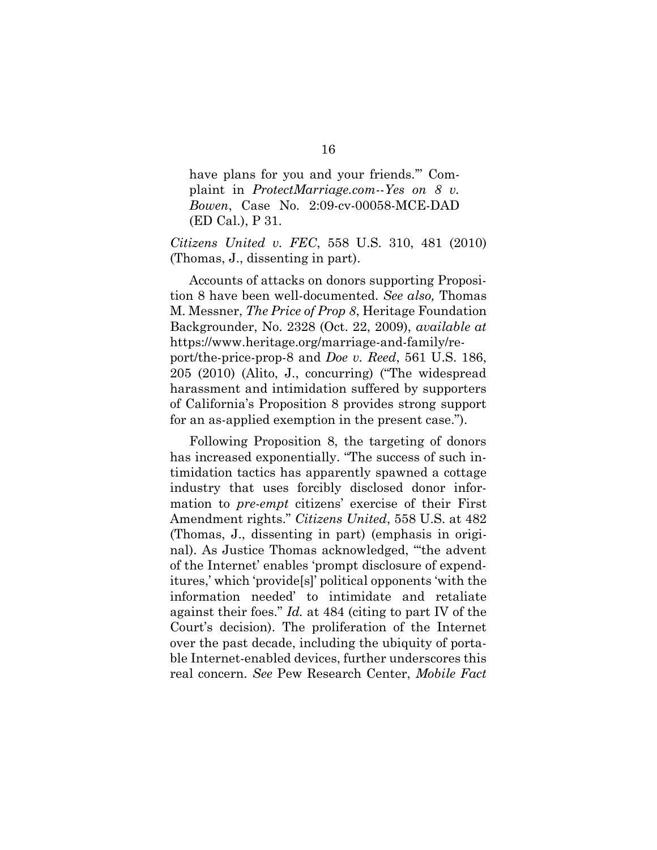have plans for you and your friends.'" Complaint in *ProtectMarriage.com*--*Yes on 8 v. Bowen*, Case No. 2:09-cv-00058-MCE-DAD (ED Cal.), P 31.

*Citizens United v. FEC*, 558 U.S. 310, 481 (2010) (Thomas, J., dissenting in part).

Accounts of attacks on donors supporting Proposition 8 have been well-documented. *See also,* Thomas M. Messner, *The Price of Prop 8*, Heritage Foundation Backgrounder, No. 2328 (Oct. 22, 2009), *available at* https://www.heritage.org/marriage-and-family/report/the-price-prop-8 and *Doe v. Reed*, 561 U.S. 186, 205 (2010) (Alito, J., concurring) ("The widespread harassment and intimidation suffered by supporters of California's Proposition 8 provides strong support for an as-applied exemption in the present case.").

Following Proposition 8, the targeting of donors has increased exponentially. "The success of such intimidation tactics has apparently spawned a cottage industry that uses forcibly disclosed donor information to *pre-empt* citizens' exercise of their First Amendment rights." *Citizens United*, 558 U.S. at 482 (Thomas, J., dissenting in part) (emphasis in original). As Justice Thomas acknowledged, "'the advent of the Internet' enables 'prompt disclosure of expenditures,' which 'provide[s]' political opponents 'with the information needed' to intimidate and retaliate against their foes." *Id.* at 484 (citing to part IV of the Court's decision). The proliferation of the Internet over the past decade, including the ubiquity of portable Internet-enabled devices, further underscores this real concern. *See* Pew Research Center, *Mobile Fact*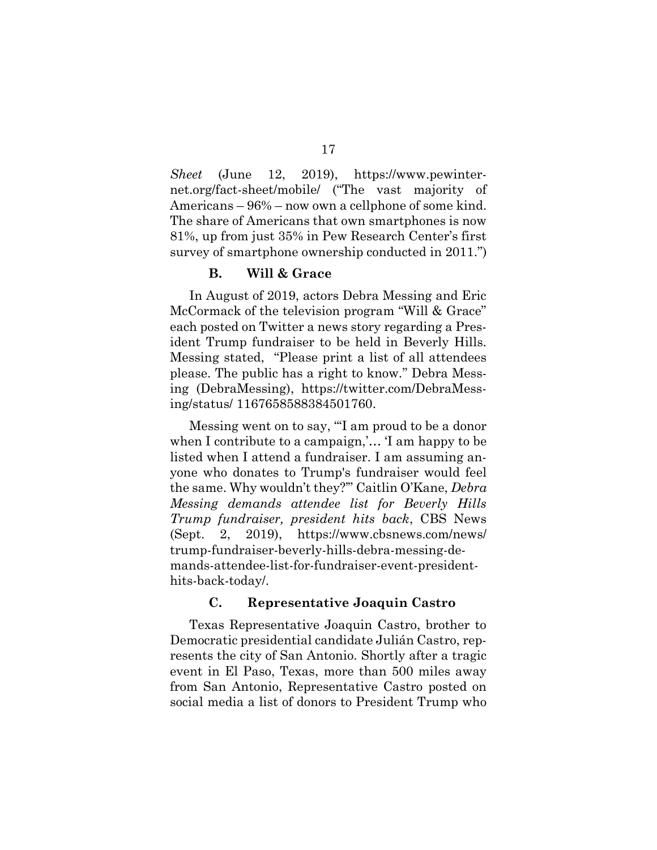*Sheet* (June 12, 2019), https://www.pewinternet.org/fact-sheet/mobile/ ("The vast majority of Americans – 96% – now own a cellphone of some kind. The share of Americans that own smartphones is now 81%, up from just 35% in Pew Research Center's first survey of smartphone ownership conducted in 2011.")

### **B. Will & Grace**

In August of 2019, actors Debra Messing and Eric McCormack of the television program "Will & Grace" each posted on Twitter a news story regarding a President Trump fundraiser to be held in Beverly Hills. Messing stated, "Please print a list of all attendees please. The public has a right to know." Debra Messing (DebraMessing), https://twitter.com/DebraMessing/status/ 1167658588384501760.

Messing went on to say, "'I am proud to be a donor when I contribute to a campaign,'… 'I am happy to be listed when I attend a fundraiser. I am assuming anyone who donates to Trump's fundraiser would feel the same. Why wouldn't they?'" Caitlin O'Kane, *Debra Messing demands attendee list for Beverly Hills Trump fundraiser, president hits back*, CBS News (Sept. 2, 2019), https://www.cbsnews.com/news/ trump-fundraiser-beverly-hills-debra-messing-demands-attendee-list-for-fundraiser-event-presidenthits-back-today/.

# **C. Representative Joaquin Castro**

Texas Representative Joaquin Castro, brother to Democratic presidential candidate Julián Castro, represents the city of San Antonio. Shortly after a tragic event in El Paso, Texas, more than 500 miles away from San Antonio, Representative Castro posted on social media a list of donors to President Trump who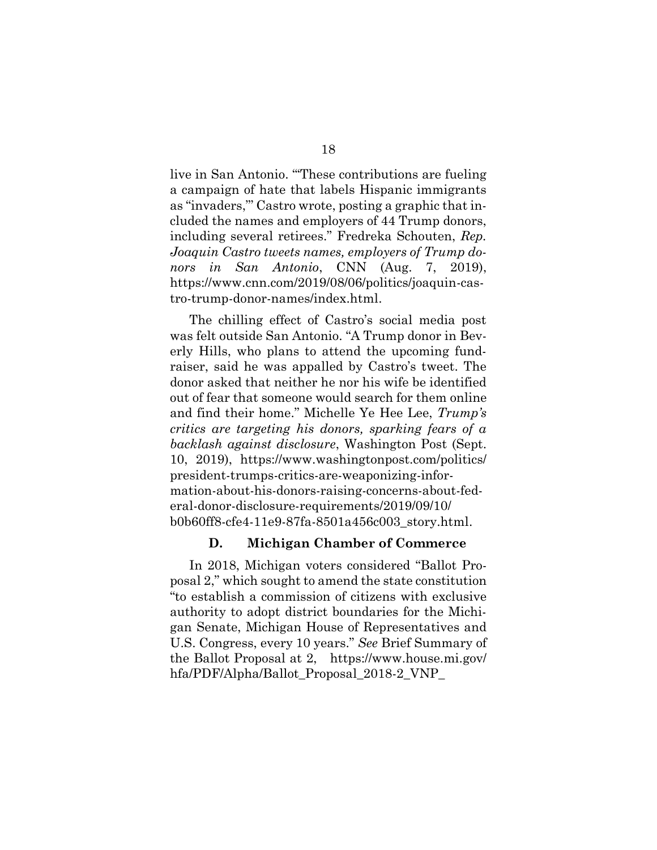live in San Antonio. "'These contributions are fueling a campaign of hate that labels Hispanic immigrants as "invaders,"' Castro wrote, posting a graphic that included the names and employers of 44 Trump donors, including several retirees." Fredreka Schouten, *Rep. Joaquin Castro tweets names, employers of Trump donors in San Antonio*, CNN (Aug. 7, 2019), https://www.cnn.com/2019/08/06/politics/joaquin-castro-trump-donor-names/index.html.

The chilling effect of Castro's social media post was felt outside San Antonio. "A Trump donor in Beverly Hills, who plans to attend the upcoming fundraiser, said he was appalled by Castro's tweet. The donor asked that neither he nor his wife be identified out of fear that someone would search for them online and find their home." Michelle Ye Hee Lee, *Trump's critics are targeting his donors, sparking fears of a backlash against disclosure*, Washington Post (Sept. 10, 2019), https://www.washingtonpost.com/politics/ president-trumps-critics-are-weaponizing-information-about-his-donors-raising-concerns-about-federal-donor-disclosure-requirements/2019/09/10/ b0b60ff8-cfe4-11e9-87fa-8501a456c003\_story.html.

### **D. Michigan Chamber of Commerce**

In 2018, Michigan voters considered "Ballot Proposal 2," which sought to amend the state constitution "to establish a commission of citizens with exclusive authority to adopt district boundaries for the Michigan Senate, Michigan House of Representatives and U.S. Congress, every 10 years." *See* Brief Summary of the Ballot Proposal at 2, https://www.house.mi.gov/ hfa/PDF/Alpha/Ballot\_Proposal\_2018-2\_VNP\_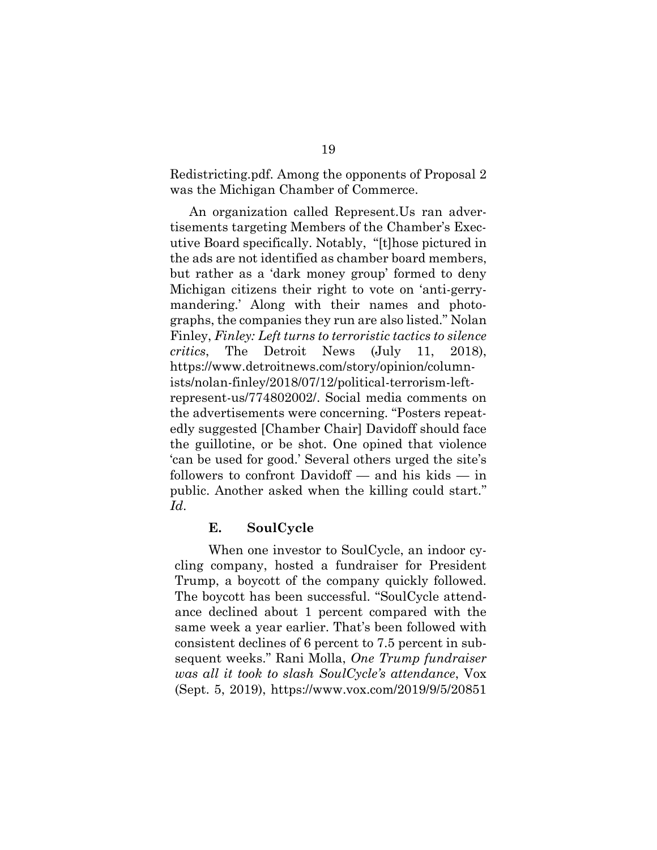Redistricting.pdf. Among the opponents of Proposal 2 was the Michigan Chamber of Commerce.

An organization called Represent.Us ran advertisements targeting Members of the Chamber's Executive Board specifically. Notably, "[t]hose pictured in the ads are not identified as chamber board members, but rather as a 'dark money group' formed to deny Michigan citizens their right to vote on 'anti-gerrymandering.' Along with their names and photographs, the companies they run are also listed." Nolan Finley, *Finley: Left turns to terroristic tactics to silence critics*, The Detroit News (July 11, 2018), https://www.detroitnews.com/story/opinion/columnists/nolan-finley/2018/07/12/political-terrorism-leftrepresent-us/774802002/. Social media comments on the advertisements were concerning. "Posters repeatedly suggested [Chamber Chair] Davidoff should face the guillotine, or be shot. One opined that violence 'can be used for good.' Several others urged the site's followers to confront Davidoff — and his kids — in public. Another asked when the killing could start." *Id*.

### **E. SoulCycle**

When one investor to SoulCycle, an indoor cycling company, hosted a fundraiser for President Trump, a boycott of the company quickly followed. The boycott has been successful. "SoulCycle attendance declined about 1 percent compared with the same week a year earlier. That's been followed with consistent declines of 6 percent to 7.5 percent in subsequent weeks." Rani Molla, *One Trump fundraiser was all it took to slash SoulCycle's attendance*, Vox (Sept. 5, 2019), https://www.vox.com/2019/9/5/20851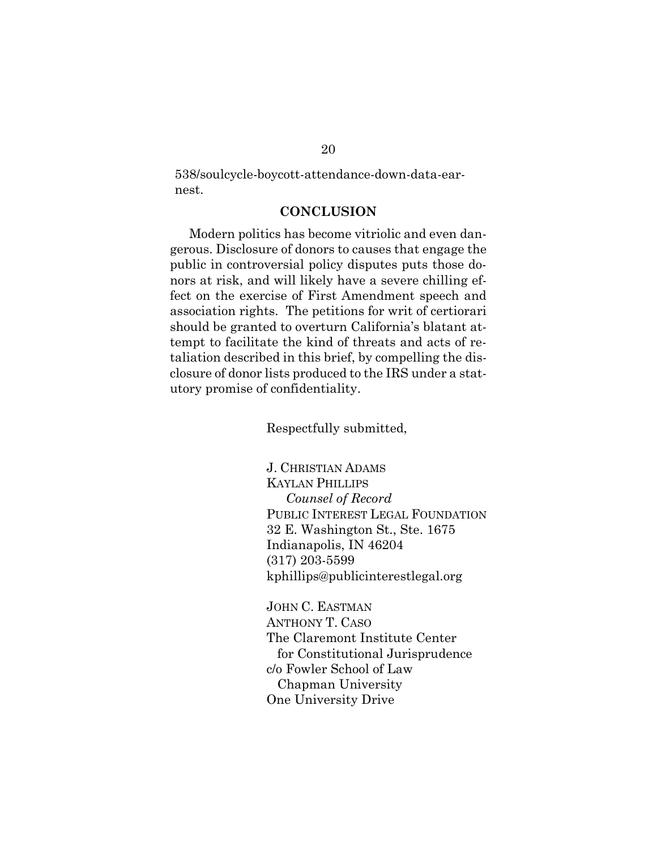538/soulcycle-boycott-attendance-down-data-earnest.

## **CONCLUSION**

Modern politics has become vitriolic and even dangerous. Disclosure of donors to causes that engage the public in controversial policy disputes puts those donors at risk, and will likely have a severe chilling effect on the exercise of First Amendment speech and association rights. The petitions for writ of certiorari should be granted to overturn California's blatant attempt to facilitate the kind of threats and acts of retaliation described in this brief, by compelling the disclosure of donor lists produced to the IRS under a statutory promise of confidentiality.

Respectfully submitted,

J. CHRISTIAN ADAMS KAYLAN PHILLIPS *Counsel of Record* PUBLIC INTEREST LEGAL FOUNDATION 32 E. Washington St., Ste. 1675 Indianapolis, IN 46204 (317) 203-5599 kphillips@publicinterestlegal.org

JOHN C. EASTMAN ANTHONY T. CASO The Claremont Institute Center for Constitutional Jurisprudence c/o Fowler School of Law Chapman University One University Drive